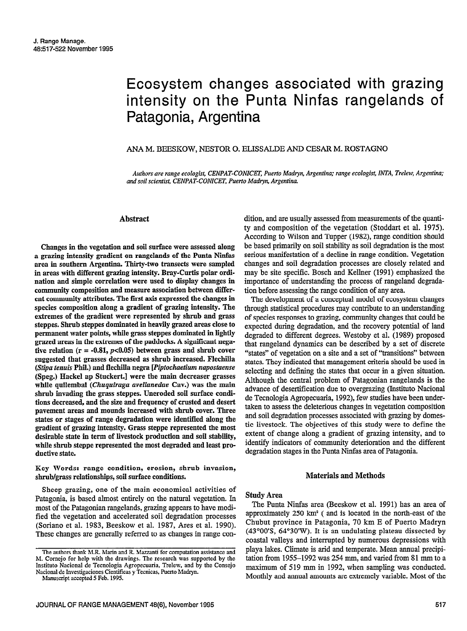# Ecosystem changes associated with grazing intensity on the Punta Ninfas rangelands of Patagonia, Argentina

# ANA M. BEESKOW, NESTOR 0. ELISSALDE AND CESAR M. ROSTAGNO

Authors are range ecologist, CENPAT-CONICET, Puerto Madryn, Argentina; range ecologist, INTA, Trelew, Argentina; and soil scientist, CENPAT-CONICET, Puerto Madryn, Argentina.

# Abstract

Changes in the vegetation and soil surface were assessed along a grazing intensity gradient on rangelands of the Punta Ninfas area in southern Argentina. Thirty-two transects were sampled in areas with different grazing intensity. Bray-Curtis polar ordination and simple correlation were used to display changes in commuuity composition and measure association between different community attributes. The first axis expressed the changes in species composition along a gradient of grazing intensity. The extremes of the gradient were represented by shrub and grass steppes. Shrub steppes dominated in heavily grazed areas close to permanent water points, while grass steppes dominated in lightly grazed areas in the extremes of the paddocks. A significant negative relation ( $r = -0.81$ ,  $p < 0.05$ ) between grass and shrub cover suggested that grasses decreased as shrub increased. Flechilla (Stipa tenuis Phil.) and flechilla negra [Piptochaetium napostaense (Speg.) Hackel ap Stuckert.] were the main decreaser grasses while quilembai (Chuquiraga avellanedae Cav.) was the main shrub invading the grass steppes. Uneroded soil surface conditions decreased, and the size and frequency of crusted and desert pavement areas and mounds increased with shrub cover. Three states or stages of range degradation were identified along the gradient of grazing intensity. Grass steppe represented the most desirable state in term of livestock production and soil stability, while shrub steppe represented the most degraded and least productive state.

Key Words: range condition, erosion, shrub invasion, shrub/grass relationships, soil surface conditions.

Sheep grazing, one of the main economical activities of Patagonia, is based almost entirely on the natural vegetation. In most of the Patagonian rangelands, grazing appears to have modified the vegetation and accelerated soil degradation processes (Soriano et al. 1983, Beeskow et al. 1987, Ares et al. 1990). These changes are generally referred to as changes in range condition, and are usually assessed from measurements of the quantity and composition of the vegetation (Stoddart et al. 1975). According to Wilson and Tupper (1982), range condition should be based primarily on soil stability as soil degradation is the most serious manifestation of a decline in range condition. Vegetation changes and soil degradation processes are closely related and may be site specific. Bosch and Kellner (1991) emphasized the importance of understanding the process of rangeland degradation before assessing the range condition of any area.

The development of a conceptual model of ecosystem changes through statistical procedures may contribute to an understanding of species responses to grazing, community changes that could be expected during degradation, and the recovery potential of land degraded to different degrees. Westoby et al. (1989) proposed that rangeland dynamics can be described by a set of discrete "states" of vegetation on a site and a set of "transitions" between states. They indicated that management criteria should be used in selecting and defining the states that occur in a given situation. Although the central problem of Patagonian rangelands is the advance of desertification due to overgrazing (Instituto Nacional de Tecnologia Agropecuatia, 1992), few studies have been undertaken to assess the deleterious changes in vegetation composition and soil degradation processes associated with grazing by domestic livestock. The objectives of this study were to define the extent of change along a gradient of grazing intensity, and to identify indicators of community deterioration and the different degradation stages in the Punta Ninfas area of Patagonia.

### Materials and Methods

### Study Area

The Punta Ninfas area (Beeskow et al. 1991) has an area of approximately 250 km2 ( and is located in the north-east of the Chubut province in Patagonia, 70 km E of Puerto Madryn (43"OO'S, 64"3O'W). It is an undulating plateau dissected by coastal valleys and interrupted by numerous depressions with playa lakes. Climate is arid and temperate. Mean annual precipitation from 1955-1992 was 254 mm, and varied from 81 mm to a maximum of 519 mm in 1992, when sampling was conducted. Monthly and annual amounts are extremely variable. Most of the

The authors thank M.R. Marin and R. Mazzanti for computation assistance and M. Cornejo for help with the drawings. The research was supported by the Instituto Nacional de Tecnologia Agropecuaria, Trelew, and by the Consejo Nacional de Investigaciones Cientificas y Tecnicas, Puerto Madryn.

Manuscript accepted 5 Feb. 1995.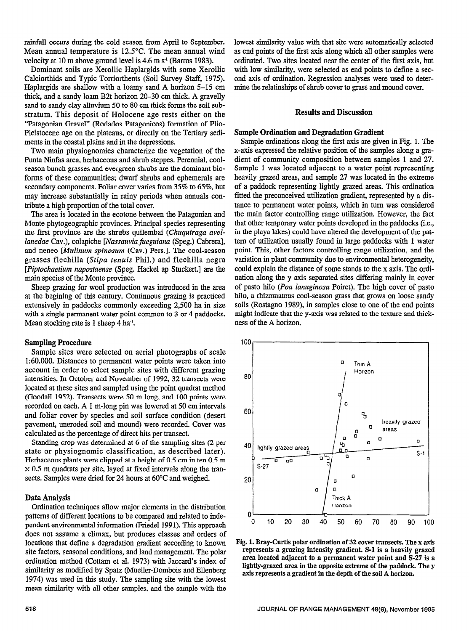rainfall occurs during the cold season from April to September. Mean annual temperature is 12.5"C. The mean annual wind velocity at 10 m above ground level is 4.6 m s<sup>1</sup> (Barros 1983).

Dominant soils are Xerollic Haplargids with some Xerollic Calciorthids and Typic Torriorthents (Soil Survey Staff, 1975). Haplargids are shallow with a loamy sand A horizon 5-15 cm thick, and a sandy loam B2t horizon 20-30 cm thick. A gravelly sand to sandy clay alluvium 50 to 80 cm thick forms the soil substratum. This deposit of Holocene age rests either on the "Patagonian Gravel" (Rodados Patagonicos) formation of Plio-Pleistocene age on the plateaus, or directly on the Tertiary sediments in the coastal plains and in the depressions.

Two main physiognomies characterize the vegetation of the Puma Ninfas area, herbaceous and shrub steppes. Perennial, coolseason bunch grasses and evergreen shrubs are the dominant bioforms of these communities; dwarf shrubs and ephemerals are secondary components. Foliar cover varies from 35% to 65%, but may increase substantially in rainy periods when annuals contribute a high proportion of the total cover.

The area is located in the ecotone between the Patagonian and Monte phytogeographic provinces. Principal species representing the first province are the shrubs quilembai (Chuquiraga avellanedae Cav.), colapiche [Nassauvia fueguiana (Speg.) Cabrera], and neneo [Mulinum spinosum (Cav.) Pers.]. The cool-season grasses flechilla (Stipa tenuis Phil.) and flechilla negra [Piptochaetium napostaense (Speg. Hackel ap Stuckert.] are the main species of the Monte province.

Sheep grazing for wool production was introduced in the area at the begining of this century. Continuous grazing is practiced extensively in paddocks commonly exceeding 2,500 ha in size with a single permanent water point common to 3 or 4 paddocks. Mean stocking rate is 1 sheep 4 ha'.

# Sampling Procedure

Sample sites were selected on aerial photographs of scale 1:60,000. Distances to permanent water points were taken into account in order to select sample sites with different grazing intensities. In October and November of 1992, 32 transects were located at the second using the point  $\frac{1}{2}$  sites and  $\frac{1}{2}$  method  $\frac{1}{2}$  $(6 - 1.9, 1958)$ . Transferred 50 m long, and 50 points were 50 m long, and 100 points were  $(50 - 1.9, 1.90)$ (Goodall 1952). Transects were 50 m long, and 100 points were recorded on each. A 1 m-long pin was lowered at 50 cm intervals and following following the surface condition (deserted and soil surface condition (deserted and soil surface condition (deserted and soil surface condition (deserted and soil surface condition (deserted and soil surface c and ronal cover by species and soil surface condition (desert pavement, uneroded soil and mound) were recorded. Cover was calculated as the percentage of direct hits per transect.

Standing crop was determined at 6 of the sampling sites (2 per state or physiognomic classification, as described later). Herbaceous plants were clipped at a height of  $0.5$  cm in ten  $0.5$  m  $\times$  0.5 m quadrats per site, layed at fixed intervals along the transects. Samples were dried for 24 hours at 60 $^{\circ}$ C and weighed.

#### Data Analysis Ordination techniques allow major elements in the distribution

**Ordination techniques allow major elements in the distribution** patterns of different locations to be compared and related to independent environmental information (Friedel 1991). This approach does not assume a climax, but produces classes and orders of locations that define a degradation gradient according to known site factors, seasonal conditions, and land management. The polar ordination method (Cottam et al. 1973) with Jaccard's index of similarity as modified by Spatz (Mueller-Dombois and Ellenberg 1974) was used in this study. The sampling site with the lowest mean similarity with all other samples, and the sample with the lowest similarity value with that site were automatically selected as end points of the first axis along which all other samples were ordinated. Two sites located near the center of the first axis, but with low similarity, were selected as end points to define a second axis of ordination. Regression analyses were used to determine the relatinships of shrub cover to grass and mound cover.

# Results and Discussion

### Sample Ordination and Degradation Gradient

Sample ordinations along the first axis are given in Fig. 1. The x-axis expressed the relative position of the samples along a gradient of community composition between samples 1 and 27. Sample 1 was located adjacent to a water point representing heavily grazed areas, and sample 27 was located in the extreme of a paddock representing lightly grazed areas. This ordination fitted the preconceived utilization gradient, represented by a distance to permanent water points, which in turn was considered the main factor controlling range utilization. However, the fact that other temporary water points developed in the paddocks (i.e., in the playa lakes) could have altered the development of the pattern of utilization usually found in large paddocks with 1 water point. This, other factors controlling range utilization, and the variation in plant community due to environmental heterogeneity, could explain the distance of some stands to the x axis. The ordination along the y axis separated sites differing mainly in cover of pasto hilo (Poa lanuginosa Poiret). The high cover of pasto hilo, a rhizomatous cool-season grass that grows on loose sandy soils (Rostagno 1989), in samples close to one of the end points might indicate that the y-axis was related to the texture and thickness of the A horizon.



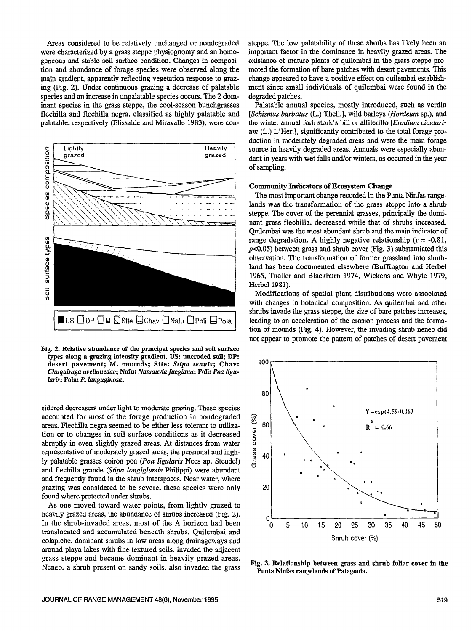Areas considered to be relatively unchanged or nondegraded were characterized by a grass steppe physiognomy and an homogeneous and stable soil surface condition. Changes in composition and abundance of forage species were observed along the main gradient, apparently reflecting vegetation response to grazing (Fig. 2). Under continuous grazing a decrease of palatable species and an increase in unpalatable species occurs. The 2 dominant species in the grass steppe, the cool-season bunchgrasses flechilla and flechilla negra, classified as highly palatable and palatable, respectively (Elissalde and Miravalle 1983), were con-



Fig. 2. Relative abundance of the principal species and soil surface types along a grazing intensity gradient. US: uneroded soil; DP: desert pavement; M. mounds; Stte: Stipa tenuis; Chav: Chuquiraga avellanedae; Nafu: Nassauvia fuegiana; Poli: Poa ligularis; Pola: P. languginosa.

sidered decreasers under light to moderate grazing. These species accounted for most of the forage production in nondegraded areas. Flechilla negra seemed to be either less tolerant to utilization or to changes in soil surface conditions as it decreased abruptly in even slightly grazed areas. At distances from water representative of moderately grazed areas, the perennial and highly palatable grasses coiron poa (Poa ligularis Nees ap. Steudel) and flechilla grande (Stipa longiglumis Philippi) were abundant and frequently found in the shrub interspaces. Near water, where grazing was considered to be severe, these species were only found where protected under shrubs.

As one moved toward water points, from lightly grazed to heavily grazed areas, the abundance of shrubs increased (Fig. 2). In the shrub-invaded areas, most of the A horizon had been translocated and accumulated beneath shrubs. Quilembai and colapiche, dominant shrubs in low areas along drainageways and around playa lakes with fine textured soils, invaded the adjacent grass steppe and became dominant in heavily grazed areas. Neneo, a shrub present on sandy soils, also invaded the grass

steppe. The low palatability of these shrubs has likely been an important factor in the dominance in heavily grazed areas. The existance of mature plants of quilembai in the grass steppe promoted the formation of bare patches with desert pavements. This change appeared to have a positive effect on quilembai establishment since small individuals of quilembai were found in the degraded patches.

Palatable annual species, mostly introduced, such as verdin [Schismus barbatus (L.) Thell.], wild barleys (Hordeum sp.), and the winter annual forb stork's bill or alfilerillo [Erodium cicutari $um$  (L.) L'Her.], significantly contributed to the total forage production in moderately degraded areas and were the main forage source in heavily degraded areas. Annuals were especially abundant in years with wet falls and/or winters, as occurred in the year of sampling.

# **Community Indicators of Ecosystem Change**

The most important change recorded in the Punta Ninfas rangelands was the transformation of the grass steppe into a shrub steppe. The cover of the perennial grasses, principally the dominant grass flechilla, decreased while that of shrubs increased. Quilembai was the most abundant shrub and the main indicator of range degradation. A highly negative relationship  $(r = -0.81,$  $p<0.05$ ) between grass and shrub cover (Fig. 3) substantiated this observation. The transformation of former grassland into shrubland has been documented elsewhere (Buffington and Herbel 1965, Tueller and Blackburn 1974, Wickens and Whyte 1979, Herbel 1981).

Modifications of spatial plant distributions were associated with changes in botanical composition. As quilembai and other shrubs invade the grass steppe, the size of bare patches increases, leading to an acceleration of the erosion process and the formation of mounds (Fig. 4). However, the invading shrub neneo did not appear to promote the pattern of patches of desert pavement



Fig. 3. Relationship between grass and shrub foliar cover in the Punta Ninfas rangelands of Patagonia.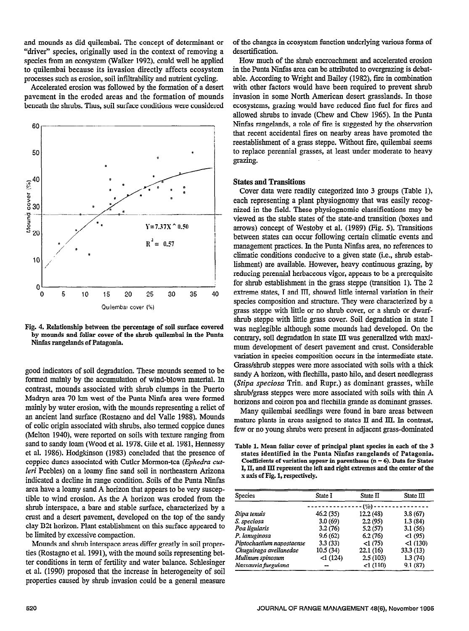and mounds as did quilembai. The concept of determinant or "driver" species, originally used in the context of removing a species from an ecosystem (Walker 1992), could well be applied to quilembai because its invasion directly affects ecosystem processes such as erosion, soil infihrability and nutient cycling.

Accelerated erosion was followed by the formation of a desert pavement in the eroded areas and the formation of mounds beneath the shrubs. Thus, soil surface conditions were considered



Fig. 4. Relationship between the percentage of soil surface covered B. T. RELACULISHIP DECIMENT THE PELLEMARE OF SUIT SUITAGE COVETELL ny mountis and topar cover of t

good indicators of soil degradation. These mounds seemed to be formed mainly by the accumulation of wind-blown material. In contrast, mounds associated with shrub clumps in the Puerto commast, modifies associated with small champs in the Puctio mainly and to kin west of the funta rund area were formed mainly by water erosion, with the mounds representing a relict of an ancient land surface (Rostagno and del Valle 1988). Mounds of eolic origin associated with shrubs, also termed coppice dunes (Melton 1940), were reported on soils with texture ranging from sand to sandy loam (Wood et al. 1978, Gile et al. 1981, Hennessy et al. 1986). Hodgkinson (1983) concluded that the presence of coppice dunes associated with Cutler Mormon-tea (Ephedra cutleri Peebles) on a loamy fine sand soil in northeastern Arizona indicated a decline in range condition. Soils of the Punta Ninfas area have a loamy sand A horizon that appears to be very susceptible to wind erosion. As the A horizon was eroded from the shrub interspace, a bare and stable surface, characterized by a crust and a desert pavement, developed on the top of the sandy clay B2t horizon. Plant establishment on this surface appeared to be limited by excessive compaction.

Mounds and shrub interspace areas differ greatly in soil properties (Rostagno et al. 1991), with the mound soils representing better conditions in term of fertility and water balance. Schlesinger et al. (1990) proposed that the increase in heterogeneity of soil properties caused by shrub invasion could be a general measure of the changes in ecosystem function underlying various forms of desertification.

How much of the shrub encroachment and accelerated erosion in the Punta Ninfas area can be attributed to overgrazing is debatable. According to Wright and Bailey (1982), fire in combination with other factors would have been required to prevent shrub invasion in some North American desert grasslands. In those ecosystems, grazing would have reduced fine fuel for fires and allowed shrubs to invade (Chew and Chew 1965). In the Punta Ninfas rangelands, a role of fire is suggested by the observation that recent accidental fires on nearby areas have promoted the reestablishment of a grass steppe. Without fire, quilembai seems to replace perennial grasses, at least under moderate to heavy grazing.

# States and Transitions

Cover data were readily categorized into 3 groups (Table I), each representing a plant physiognomy that was easily recognized in the field. These physiognomic classifications may be viewed as the stable states of the state-and transition (boxes and arrows) concept of Westoby et al. (1989) (Pig. 5). Transitions between states can occur following certain climatic events and management practices. In the Punta Ninfas area, no references to climatic conditions conducive to a given state (i.e., shrub establishment) are available. However, heavy continuous grazing, by reducing perennial herbaceous vigor, appears to be a prerequisite for shrub establishment in the grass steppe (transition 1). The 2 extreme states, I and III, showed little internal variation in their species composition and structure. They were characterized by a grass steppe with little or no shrub cover, or a shrub or dwarfshrub steppe with little grass cover. Soil degradation in state I was neglegible although some mounds had developed. On the contrary, soil degradation in state III was generalized with maximum development of desert pavement and crust. Considerable variation in species composition occurs in the intermediate state. ruinicum in species composition coems in the intermediate state. sandy Suppos were more associated with some with a microsandy A horizon, with flechilla, pasto hilo, and desert needlegrass (Stipa speciosa Trin. and Rupr.) as dominant grasses, while shrub associated with the more more associated with some associated with the more associated with the Magnetius horizons activities were more associated with some with their rehorizons and coiron poa and flechilla grande as dominant grasses.

Many quilembai seedlings were found in bare areas between mature plants in areas assigned to states  $II$  and  $III$ . In contrast, few or no young shrubs were present in adjacent grass-dominated

states in the Punta Cover of principal plant species in each of the states identified in the Punta Ninfas rangelands of Patagonia. Coefficients of variation appear in parentheses  $(n = 6)$ . Data for States I, II, and III represent the left and right extremes and the center of the x axis of Fig. 1, respectively.

| <b>Species</b>            | State I   | State II  | State III |
|---------------------------|-----------|-----------|-----------|
|                           | (%)       |           |           |
| Stipa tenuis              | 46.2(35)  | 12.2 (48) | 3.8(67)   |
| S. speciosa               | 3.0(69)   | 2.2(95)   | 1.3(84)   |
| Poa ligularis             | 3.2(76)   | 5.2(57)   | 3.1(56)   |
| P. lanuginosa             | 9.6(62)   | 6.2(76)   | <1(95)    |
| Piptochaetium napostaense | 3.3(33)   | <1(75)    | <1(130)   |
| Chuguiraga avellanedae    | 10.5 (34) | 22.1(16)  | 33.3(13)  |
| Mulinum spinosum          | <1(124)   | 2.5(103)  | 1.3(74)   |
| Nassauvia fueguiana       |           | <1(110)   | 9.1(87)   |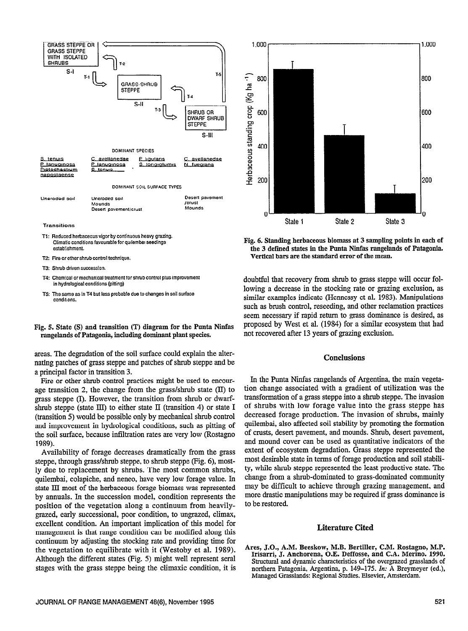

- T3: Shrub driven succession.
- T4: Chemical or mechanical treatment for shrub control plus improvement in hydrological conditions (pitting)
- T5: The same as in T4 but less probable due to changes in soil surface conditions.

Fig. 5. State (S) and transition (T) diagram for the Punta Ninfas rangelands of Patagonia, including dominant plant species.

areas. The degradation of the soil surface could explain the alternating patches of grass steppe and patches of shrub steppe and be a principal factor in transition 3.

Fire or other shrub control practices might be used to encourage transition 2, the change from the grass/shrub state (II) to grass steppe (I). However, the transition from shrub or dwarfshrub steppe (state III) to either state II (transition 4) or state I (transition 5) would be possible only by mechanical shrub control and improvement in hydrological conditions, such as pitting of the soil surface, because infiltration rates are very low (Rostagno 1989).

Availability of forage decreases dramatically from the grass steppe, through grass/shrub steppe, to shrub steppe (Fig. 6), mostly due to replacement by shrubs. The most common shrubs, quilembai, colapiche, and neneo, have very low forage value. In state III most of the herbaceous forage biomass was represented by annuals. In the succession model, condition represents the position of the vegetation along a continuum from heavilygrazed, early successional, poor condition, to ungrazed, climax, excellent condition. An important implication of this model for management is that range condition can be modified along this continuum by adjusting the stocking rate and providing time for the vegetation to equilibrate with it (Westoby et al. 1989). Although the different states (Fig. 5) might well represent seral stages with the grass steppe being the climaxic condition, it is



Fig. 6. Standing herbaceous biomass at 3 sampling points in each of the 3 defined states in the Punta Ninfas rangelands of Patagonia. Vertical bars are the standard error of the mean.

doubtful that recovery from shrub to grass steppe will occur following a decrease in the stocking rate or grazing exclusion, as similar examples indicate (Hennessy et al. 1983). Manipulations such as brush control, reseeding, and other reclamation practices seem necessary if rapid return to grass dominance is desired, as proposed by West et al. (1984) for a similar ecosystem that had not recovered after 13 years of grazing exclusion.

# **Conclusions**

In the Punta Ninfas rangelands of Argentina, the main vegetation change associated with a gradient of utilization was the transformation of a grass steppe into a shrub steppe. The invasion of shrubs with low forage value into the grass steppe has decreased forage production. The invasion of shrubs, mainly quilembai, also affected soil stability by promoting the formation of crusts, desert pavement, and mounds. Shrub, desert pavement, and mound cover can be used as quantitative indicators of the extent of ecosystem degradation. Grass steppe represented the most desirable state in terms of forage production and soil stability, while shrub steppe represented the least productive state. The change from a shrub-dominated to grass-dominated community may be difficult to achieve through grazing management, and more drastic manipulations may be required if grass dominance is to be restored.

#### Literature Cited

Ares, J.O., A.M. Beeskow, M.B. Bertiller, C.M. Rostagno, M.P. Irisarri, J. Anchorena, O.E. Deffosse, and C.A. Merino. 1990. Structural and dynamic characteristics of the overgrazed grasslands of northern Patagonia, Argentina, p. 149-175. In: A Breymeyer (ed.), Managed Grasslands: Regional Studies. Elsevier, Amsterdam.